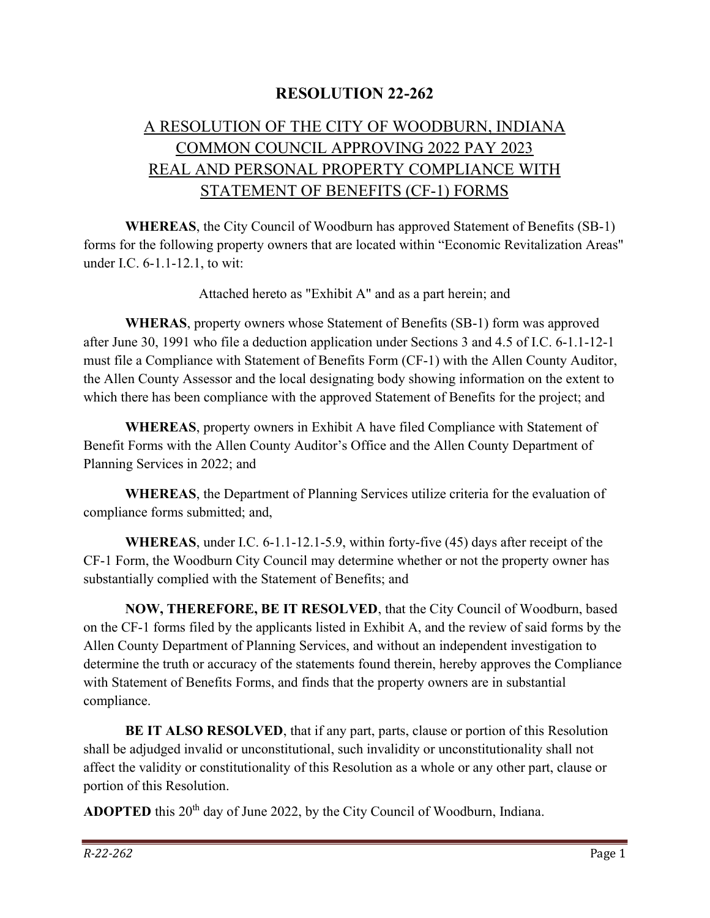## RESOLUTION 22-262

## A RESOLUTION OF THE CITY OF WOODBURN, INDIANA COMMON COUNCIL APPROVING 2022 PAY 2023 REAL AND PERSONAL PROPERTY COMPLIANCE WITH STATEMENT OF BENEFITS (CF-1) FORMS

WHEREAS, the City Council of Woodburn has approved Statement of Benefits (SB-1) forms for the following property owners that are located within "Economic Revitalization Areas" under I.C. 6-1.1-12.1, to wit:

Attached hereto as "Exhibit A" and as a part herein; and

WHERAS, property owners whose Statement of Benefits (SB-1) form was approved after June 30, 1991 who file a deduction application under Sections 3 and 4.5 of I.C. 6-1.1-12-1 must file a Compliance with Statement of Benefits Form (CF-1) with the Allen County Auditor, the Allen County Assessor and the local designating body showing information on the extent to which there has been compliance with the approved Statement of Benefits for the project; and

WHEREAS, property owners in Exhibit A have filed Compliance with Statement of Benefit Forms with the Allen County Auditor's Office and the Allen County Department of Planning Services in 2022; and

WHEREAS, the Department of Planning Services utilize criteria for the evaluation of compliance forms submitted; and,

WHEREAS, under I.C. 6-1.1-12.1-5.9, within forty-five (45) days after receipt of the CF-1 Form, the Woodburn City Council may determine whether or not the property owner has substantially complied with the Statement of Benefits; and

NOW, THEREFORE, BE IT RESOLVED, that the City Council of Woodburn, based on the CF-1 forms filed by the applicants listed in Exhibit A, and the review of said forms by the Allen County Department of Planning Services, and without an independent investigation to determine the truth or accuracy of the statements found therein, hereby approves the Compliance with Statement of Benefits Forms, and finds that the property owners are in substantial compliance.

BE IT ALSO RESOLVED, that if any part, parts, clause or portion of this Resolution shall be adjudged invalid or unconstitutional, such invalidity or unconstitutionality shall not affect the validity or constitutionality of this Resolution as a whole or any other part, clause or portion of this Resolution.

ADOPTED this 20<sup>th</sup> day of June 2022, by the City Council of Woodburn, Indiana.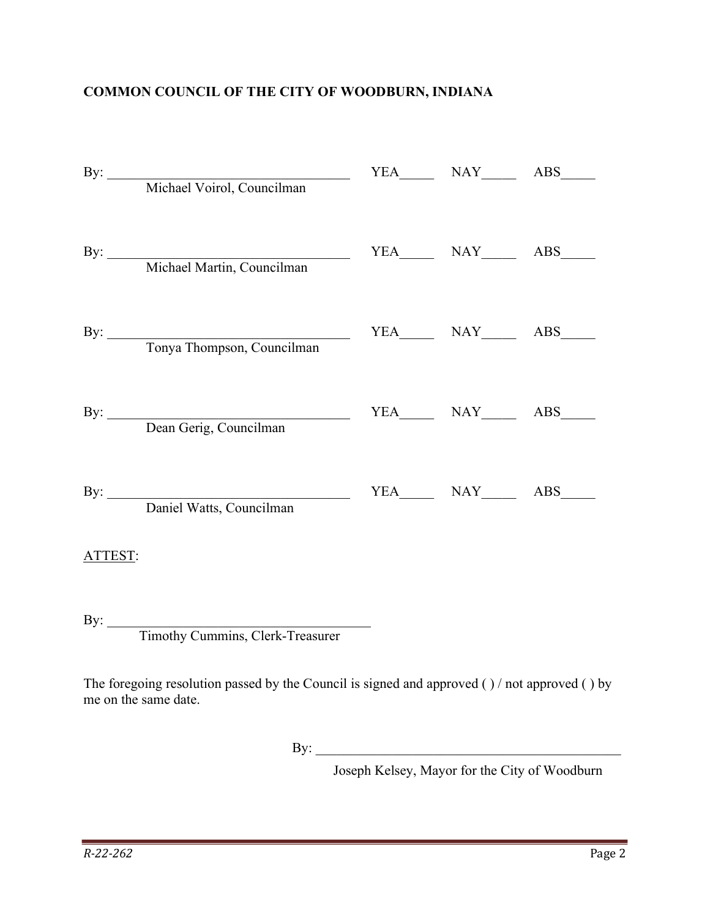## COMMON COUNCIL OF THE CITY OF WOODBURN, INDIANA

|         | By: Michael Voirol, Councilman                                                            |  |  |
|---------|-------------------------------------------------------------------------------------------|--|--|
|         | By: Michael Martin, Councilman                                                            |  |  |
|         | By: Tonya Thompson, Councilman                                                            |  |  |
|         | By: Dean Gerig, Councilman                                                                |  |  |
|         | By: Daniel Watts, Councilman                                                              |  |  |
| ATTEST: |                                                                                           |  |  |
|         | By: Timothy Cummins, Clerk-Treasurer                                                      |  |  |
|         | The foregoing resolution passed by the Council is signed and approved () (not approved () |  |  |

The foregoing resolution passed by the Council is signed and approved ( ) / not approved ( ) by me on the same date.

By:  $\Box$ 

Joseph Kelsey, Mayor for the City of Woodburn